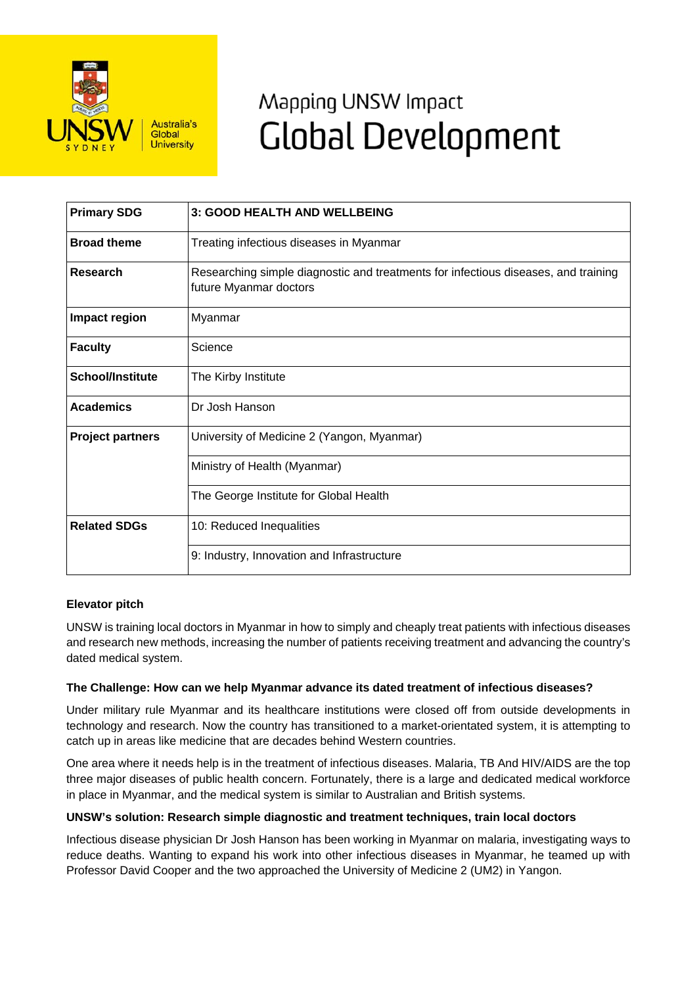

# Mapping UNSW Impact **Global Development**

| <b>Primary SDG</b>      | 3: GOOD HEALTH AND WELLBEING                                                                                 |
|-------------------------|--------------------------------------------------------------------------------------------------------------|
| <b>Broad theme</b>      | Treating infectious diseases in Myanmar                                                                      |
| <b>Research</b>         | Researching simple diagnostic and treatments for infectious diseases, and training<br>future Myanmar doctors |
| Impact region           | Myanmar                                                                                                      |
| <b>Faculty</b>          | Science                                                                                                      |
| <b>School/Institute</b> | The Kirby Institute                                                                                          |
| <b>Academics</b>        | Dr Josh Hanson                                                                                               |
| <b>Project partners</b> | University of Medicine 2 (Yangon, Myanmar)                                                                   |
|                         | Ministry of Health (Myanmar)                                                                                 |
|                         | The George Institute for Global Health                                                                       |
| <b>Related SDGs</b>     | 10: Reduced Inequalities                                                                                     |
|                         | 9: Industry, Innovation and Infrastructure                                                                   |

# **Elevator pitch**

UNSW is training local doctors in Myanmar in how to simply and cheaply treat patients with infectious diseases and research new methods, increasing the number of patients receiving treatment and advancing the country's dated medical system.

# **The Challenge: How can we help Myanmar advance its dated treatment of infectious diseases?**

Under military rule Myanmar and its healthcare institutions were closed off from outside developments in technology and research. Now the country has transitioned to a market-orientated system, it is attempting to catch up in areas like medicine that are decades behind Western countries.

One area where it needs help is in the treatment of infectious diseases. Malaria, TB And HIV/AIDS are the top three major diseases of public health concern. Fortunately, there is a large and dedicated medical workforce in place in Myanmar, and the medical system is similar to Australian and British systems.

# **UNSW's solution: Research simple diagnostic and treatment techniques, train local doctors**

Infectious disease physician Dr Josh Hanson has been working in Myanmar on malaria, investigating ways to reduce deaths. Wanting to expand his work into other infectious diseases in Myanmar, he teamed up with Professor David Cooper and the two approached the University of Medicine 2 (UM2) in Yangon.